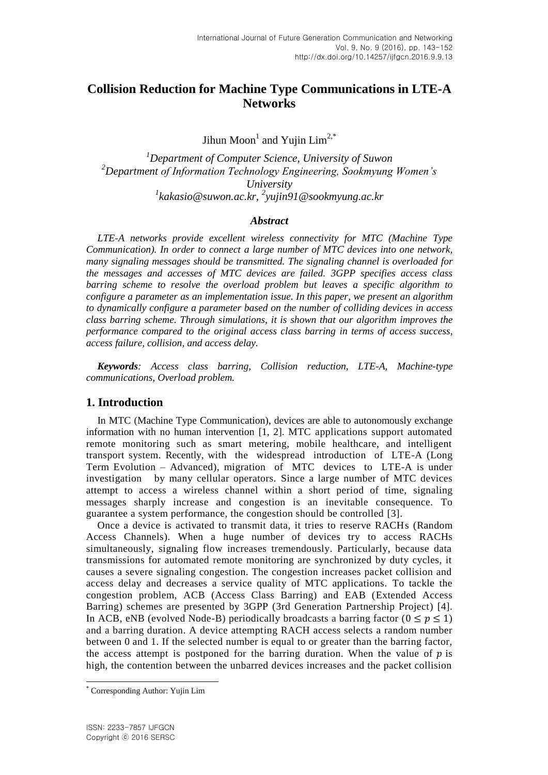# **Collision Reduction for Machine Type Communications in LTE-A Networks**

Jihun Moon<sup>1</sup> and Yujin Lim<sup>2,\*</sup>

*Department of Computer Science, University of Suwon Department of Information Technology Engineering, Sookmyung Women's University kakasio@suwon.ac.kr, <sup>2</sup> yujin91@sookmyung.ac.kr*

### *Abstract*

*LTE-A networks provide excellent wireless connectivity for MTC (Machine Type Communication). In order to connect a large number of MTC devices into one network, many signaling messages should be transmitted. The signaling channel is overloaded for the messages and accesses of MTC devices are failed. 3GPP specifies access class barring scheme to resolve the overload problem but leaves a specific algorithm to configure a parameter as an implementation issue. In this paper, we present an algorithm to dynamically configure a parameter based on the number of colliding devices in access class barring scheme. Through simulations, it is shown that our algorithm improves the performance compared to the original access class barring in terms of access success, access failure, collision, and access delay.*

*Keywords: Access class barring, Collision reduction, LTE-A, Machine-type communications, Overload problem.*

### **1. Introduction**

In MTC (Machine Type Communication), devices are able to autonomously exchange information with no human intervention [1, 2]. MTC applications support automated remote monitoring such as smart metering, mobile healthcare, and intelligent transport system. Recently, with the widespread introduction of LTE-A (Long Term Evolution – Advanced), migration of MTC devices to LTE-A is under investigation by many cellular operators. Since a large number of MTC devices attempt to access a wireless channel within a short period of time, signaling messages sharply increase and congestion is an inevitable consequence. To guarantee a system performance, the congestion should be controlled [3].

Once a device is activated to transmit data, it tries to reserve RACHs (Random Access Channels). When a huge number of devices try to access RACHs simultaneously, signaling flow increases tremendously. Particularly, because data transmissions for automated remote monitoring are synchronized by duty cycles, it causes a severe signaling congestion. The congestion increases packet collision and access delay and decreases a service quality of MTC applications. To tackle the congestion problem, ACB (Access Class Barring) and EAB (Extended Access Barring) schemes are presented by 3GPP (3rd Generation Partnership Project) [4]. In ACB, eNB (evolved Node-B) periodically broadcasts a barring factor ( $0 \le p \le 1$ ) and a barring duration. A device attempting RACH access selects a random number between 0 and 1. If the selected number is equal to or greater than the barring factor, the access attempt is postponed for the barring duration. When the value of  $p$  is high, the contention between the unbarred devices increases and the packet collision

l

<sup>\*</sup> Corresponding Author: Yujin Lim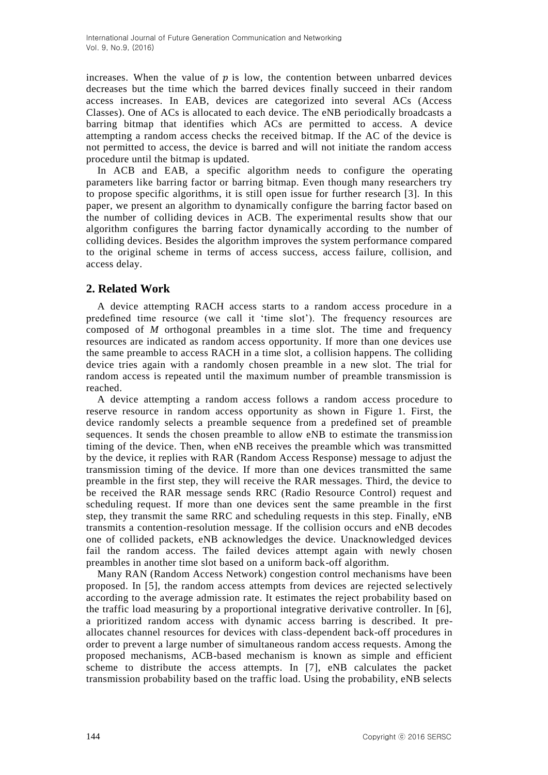increases. When the value of  $p$  is low, the contention between unbarred devices decreases but the time which the barred devices finally succeed in their random access increases. In EAB, devices are categorized into several ACs (Access Classes). One of ACs is allocated to each device. The eNB periodically broadcasts a barring bitmap that identifies which ACs are permitted to access. A device attempting a random access checks the received bitmap. If the AC of the device is not permitted to access, the device is barred and will not initiate the random access procedure until the bitmap is updated.

In ACB and EAB, a specific algorithm needs to configure the operating parameters like barring factor or barring bitmap. Even though many researchers try to propose specific algorithms, it is still open issue for further research [3]. In this paper, we present an algorithm to dynamically configure the barring factor based on the number of colliding devices in ACB. The experimental results show that our algorithm configures the barring factor dynamically according to the number of colliding devices. Besides the algorithm improves the system performance compared to the original scheme in terms of access success, access failure, collision, and access delay.

### **2. Related Work**

A device attempting RACH access starts to a random access procedure in a predefined time resource (we call it 'time slot'). The frequency resources are composed of *M* orthogonal preambles in a time slot. The time and frequency resources are indicated as random access opportunity. If more than one devices use the same preamble to access RACH in a time slot, a collision happens. The colliding device tries again with a randomly chosen preamble in a new slot. The trial for random access is repeated until the maximum number of preamble transmission is reached.

A device attempting a random access follows a random access procedure to reserve resource in random access opportunity as shown in Figure 1. First, the device randomly selects a preamble sequence from a predefined set of preamble sequences. It sends the chosen preamble to allow eNB to estimate the transmission timing of the device. Then, when eNB receives the preamble which was transmitted by the device, it replies with RAR (Random Access Response) message to adjust the transmission timing of the device. If more than one devices transmitted the same preamble in the first step, they will receive the RAR messages. Third, the device to be received the RAR message sends RRC (Radio Resource Control) request and scheduling request. If more than one devices sent the same preamble in the first step, they transmit the same RRC and scheduling requests in this step. Finally, eNB transmits a contention-resolution message. If the collision occurs and eNB decodes one of collided packets, eNB acknowledges the device. Unacknowledged devices fail the random access. The failed devices attempt again with newly chosen preambles in another time slot based on a uniform back-off algorithm.

Many RAN (Random Access Network) congestion control mechanisms have been proposed. In [5], the random access attempts from devices are rejected selectively according to the average admission rate. It estimates the reject probability based on the traffic load measuring by a proportional integrative derivative controller. In [6], a prioritized random access with dynamic access barring is described. It preallocates channel resources for devices with class-dependent back-off procedures in order to prevent a large number of simultaneous random access requests. Among the proposed mechanisms, ACB-based mechanism is known as simple and efficient scheme to distribute the access attempts. In [7], eNB calculates the packet transmission probability based on the traffic load. Using the probability, eNB selects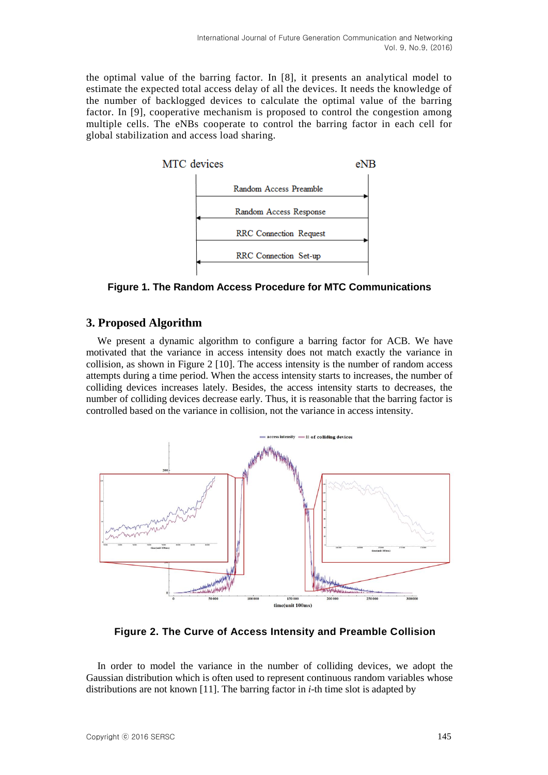the optimal value of the barring factor. In [8], it presents an analytical model to estimate the expected total access delay of all the devices. It needs the knowledge of the number of backlogged devices to calculate the optimal value of the barring factor. In [9], cooperative mechanism is proposed to control the congestion among multiple cells. The eNBs cooperate to control the barring factor in each cell for global stabilization and access load sharing.



**Figure 1. The Random Access Procedure for MTC Communications**

## **3. Proposed Algorithm**

We present a dynamic algorithm to configure a barring factor for ACB. We have motivated that the variance in access intensity does not match exactly the variance in collision, as shown in Figure 2 [10]. The access intensity is the number of random access attempts during a time period. When the access intensity starts to increases, the number of colliding devices increases lately. Besides, the access intensity starts to decreases, the number of colliding devices decrease early. Thus, it is reasonable that the barring factor is controlled based on the variance in collision, not the variance in access intensity.



**Figure 2. The Curve of Access Intensity and Preamble Collision**

In order to model the variance in the number of colliding devices, we adopt the Gaussian distribution which is often used to represent continuous random variables whose distributions are not known [11]. The barring factor in *i*-th time slot is adapted by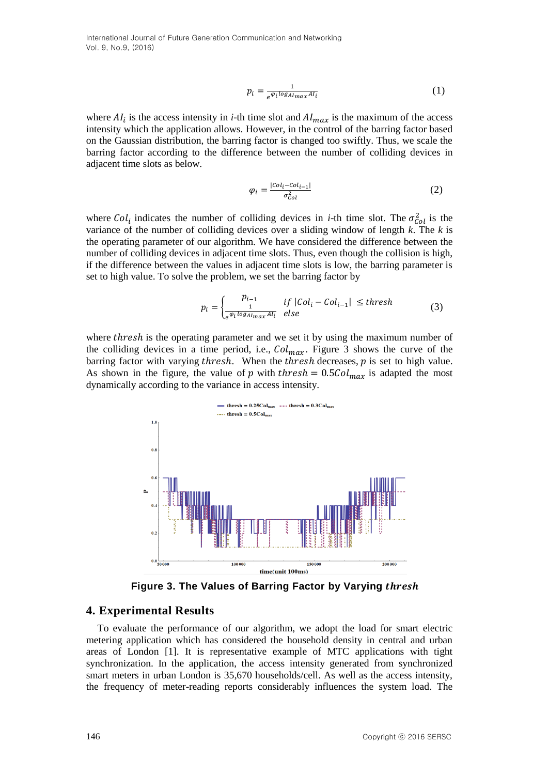$$
p_i = \frac{1}{e^{\varphi_i \log_{Almax} A I_i}}\tag{1}
$$

where  $AI_i$  is the access intensity in *i*-th time slot and  $AI_{max}$  is the maximum of the access intensity which the application allows. However, in the control of the barring factor based on the Gaussian distribution, the barring factor is changed too swiftly. Thus, we scale the barring factor according to the difference between the number of colliding devices in adjacent time slots as below.

$$
\varphi_i = \frac{|col_i - col_{i-1}|}{\sigma_{Col}^2} \tag{2}
$$

where Col<sub>i</sub> indicates the number of colliding devices in *i*-th time slot. The  $\sigma_{col}^2$  is the variance of the number of colliding devices over a sliding window of length *k*. The *k* is the operating parameter of our algorithm. We have considered the difference between the number of colliding devices in adjacent time slots. Thus, even though the collision is high, if the difference between the values in adjacent time slots is low, the barring parameter is set to high value. To solve the problem, we set the barring factor by

$$
p_i = \begin{cases} \n\frac{p_{i-1}}{1} & \text{if } |Col_i - Col_{i-1}| \leq \text{thresh} \\
\frac{e^{\varphi_i \log A I_{max} A I_i}}{1} & \text{else}\n\end{cases} \tag{3}
$$

where *thresh* is the operating parameter and we set it by using the maximum number of the colliding devices in a time period, i.e.,  $Col_{max}$ . Figure 3 shows the curve of the barring factor with varying thresh. When the thresh decreases,  $p$  is set to high value. As shown in the figure, the value of p with thresh =  $0.5 \text{Col}_{max}$  is adapted the most dynamically according to the variance in access intensity.



**Figure 3. The Values of Barring Factor by Varying**

#### **4. Experimental Results**

To evaluate the performance of our algorithm, we adopt the load for smart electric metering application which has considered the household density in central and urban areas of London [1]. It is representative example of MTC applications with tight synchronization. In the application, the access intensity generated from synchronized smart meters in urban London is 35,670 households/cell. As well as the access intensity, the frequency of meter-reading reports considerably influences the system load. The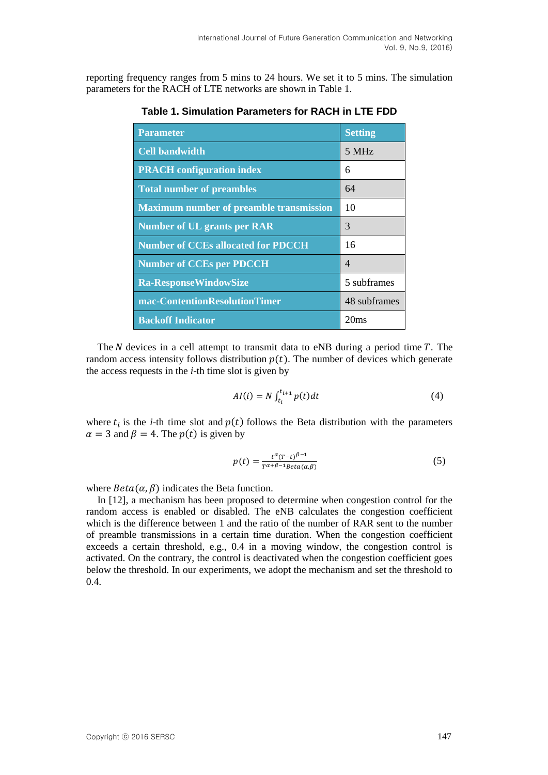reporting frequency ranges from 5 mins to 24 hours. We set it to 5 mins. The simulation parameters for the RACH of LTE networks are shown in Table 1.

| <b>Parameter</b>                        | <b>Setting</b>           |
|-----------------------------------------|--------------------------|
| <b>Cell bandwidth</b>                   | 5 MHz                    |
| <b>PRACH</b> configuration index        | 6                        |
| <b>Total number of preambles</b>        | 64                       |
| Maximum number of preamble transmission | 10                       |
| Number of UL grants per RAR             | 3                        |
| Number of CCEs allocated for PDCCH      | 16                       |
| Number of CCEs per PDCCH                | $\overline{\mathcal{A}}$ |
| Ra-Response WindowSize                  | 5 subframes              |
| mac-ContentionResolutionTimer           | 48 subframes             |
| <b>Backoff Indicator</b>                | 20ms                     |

**Table 1. Simulation Parameters for RACH in LTE FDD**

The  $N$  devices in a cell attempt to transmit data to eNB during a period time  $T$ . The random access intensity follows distribution  $p(t)$ . The number of devices which generate the access requests in the *i*-th time slot is given by

$$
AI(i) = N \int_{t_i}^{t_{i+1}} p(t)dt
$$
 (4)

where  $t_i$  is the *i*-th time slot and  $p(t)$  follows the Beta distribution with the parameters  $\alpha = 3$  and  $\beta = 4$ . The  $p(t)$  is given by

$$
p(t) = \frac{t^{\alpha}(T-t)^{\beta-1}}{T^{\alpha+\beta-1}\text{Beta}(\alpha,\beta)}
$$
(5)

where  $Beta(\alpha, \beta)$  indicates the Beta function.

In [12], a mechanism has been proposed to determine when congestion control for the random access is enabled or disabled. The eNB calculates the congestion coefficient which is the difference between 1 and the ratio of the number of RAR sent to the number of preamble transmissions in a certain time duration. When the congestion coefficient exceeds a certain threshold, e.g., 0.4 in a moving window, the congestion control is activated. On the contrary, the control is deactivated when the congestion coefficient goes below the threshold. In our experiments, we adopt the mechanism and set the threshold to 0.4.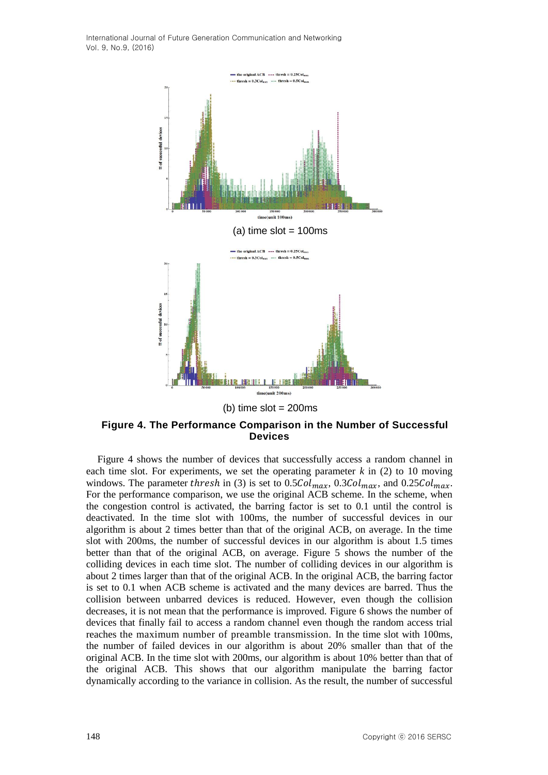

(b) time  $slot = 200ms$ 

**Figure 4. The Performance Comparison in the Number of Successful Devices**

Figure 4 shows the number of devices that successfully access a random channel in each time slot. For experiments, we set the operating parameter  $k$  in  $(2)$  to 10 moving windows. The parameter thresh in (3) is set to  $0.5 \text{Col}_{max}$ ,  $0.3 \text{Col}_{max}$ , and  $0.25 \text{Col}_{max}$ . For the performance comparison, we use the original ACB scheme. In the scheme, when the congestion control is activated, the barring factor is set to 0.1 until the control is deactivated. In the time slot with 100ms, the number of successful devices in our algorithm is about 2 times better than that of the original ACB, on average. In the time slot with 200ms, the number of successful devices in our algorithm is about 1.5 times better than that of the original ACB, on average. Figure 5 shows the number of the colliding devices in each time slot. The number of colliding devices in our algorithm is about 2 times larger than that of the original ACB. In the original ACB, the barring factor is set to 0.1 when ACB scheme is activated and the many devices are barred. Thus the collision between unbarred devices is reduced. However, even though the collision decreases, it is not mean that the performance is improved. Figure 6 shows the number of devices that finally fail to access a random channel even though the random access trial reaches the maximum number of preamble transmission. In the time slot with 100ms, the number of failed devices in our algorithm is about 20% smaller than that of the original ACB. In the time slot with 200ms, our algorithm is about 10% better than that of the original ACB. This shows that our algorithm manipulate the barring factor dynamically according to the variance in collision. As the result, the number of successful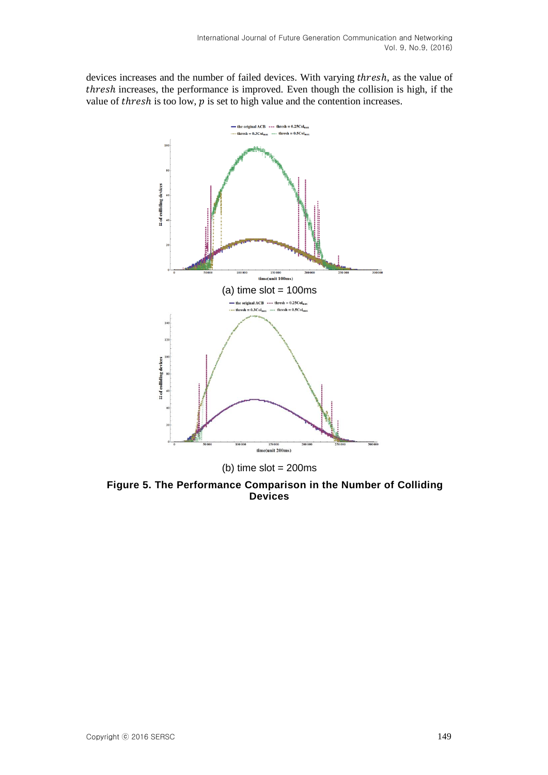devices increases and the number of failed devices. With varying thresh, as the value of thresh increases, the performance is improved. Even though the collision is high, if the value of *thresh* is too low,  $p$  is set to high value and the contention increases.



**Figure 5. The Performance Comparison in the Number of Colliding Devices**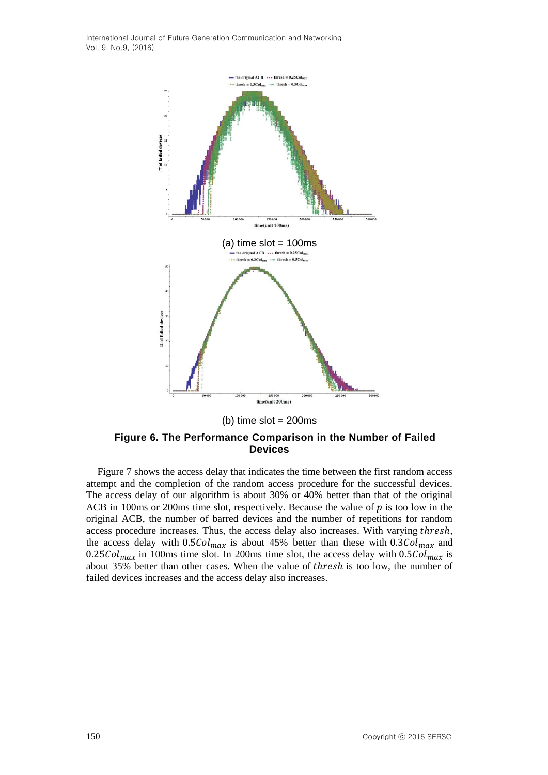



#### **Figure 6. The Performance Comparison in the Number of Failed Devices**

Figure 7 shows the access delay that indicates the time between the first random access attempt and the completion of the random access procedure for the successful devices. The access delay of our algorithm is about 30% or 40% better than that of the original ACB in 100ms or 200ms time slot, respectively. Because the value of  $p$  is too low in the original ACB, the number of barred devices and the number of repetitions for random access procedure increases. Thus, the access delay also increases. With varying thresh, the access delay with  $0.5Col_{max}$  is about 45% better than these with  $0.3Col_{max}$  and 0.25 $Col_{max}$  in 100ms time slot. In 200ms time slot, the access delay with 0.5 $Col_{max}$  is about 35% better than other cases. When the value of thresh is too low, the number of failed devices increases and the access delay also increases.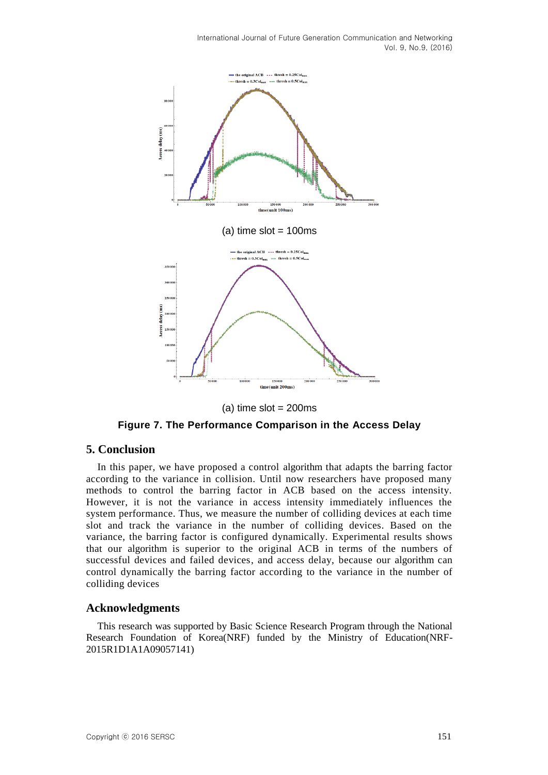

 $(a)$  time slot = 200ms

**Figure 7. The Performance Comparison in the Access Delay**

#### **5. Conclusion**

In this paper, we have proposed a control algorithm that adapts the barring factor according to the variance in collision. Until now researchers have proposed many methods to control the barring factor in ACB based on the access intensity. However, it is not the variance in access intensity immediately influences the system performance. Thus, we measure the number of colliding devices at each time slot and track the variance in the number of colliding devices. Based on the variance, the barring factor is configured dynamically. Experimental results shows that our algorithm is superior to the original ACB in terms of the numbers of successful devices and failed devices, and access delay, because our algorithm can control dynamically the barring factor according to the variance in the number of colliding devices

#### **Acknowledgments**

This research was supported by Basic Science Research Program through the National Research Foundation of Korea(NRF) funded by the Ministry of Education(NRF-2015R1D1A1A09057141)